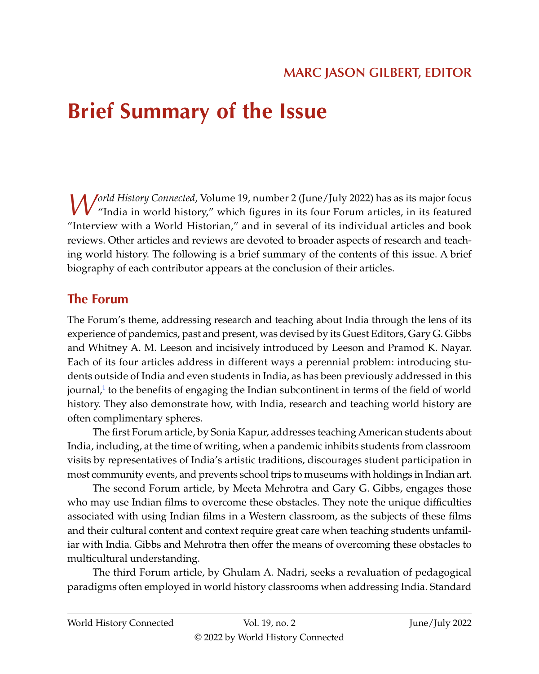# <span id="page-0-0"></span>**Brief Summary of the Issue**

*World History Connected*, Volume 19, number 2 (June/July 2022) has as its major focus "India in world history," which figures in its four Forum articles, in its featured "Interview with a World Historian," and in several of its individual articles and book reviews. Other articles and reviews are devoted to broader aspects of research and teaching world history. The following is a brief summary of the contents of this issue. A brief biography of each contributor appears at the conclusion of their articles.

# **The Forum**

The Forum's theme, addressing research and teaching about India through the lens of its experience of pandemics, past and present, was devised by its Guest Editors, Gary G. Gibbs and Whitney A. M. Leeson and incisively introduced by Leeson and Pramod K. Nayar. Each of its four articles address in different ways a perennial problem: introducing students outside of India and even students in India, as has been previously addressed in this journal,<sup>1</sup> to the benefits of engaging the Indian subcontinent in terms of the field of world history. They also demonstrate how, with India, research and teaching world history are often complimentary spheres.

The first Forum article, by Sonia Kapur, addresses teaching American students about India, including, at the time of writing, when a pandemic inhibits students from classroom visits by representatives of India's artistic traditions, discourages student participation in most community events, and prevents school trips to museums with holdings in Indian art.

The second Forum article, by Meeta Mehrotra and Gary G. Gibbs, engages those who may use Indian films to overcome these obstacles. They note the unique difficulties associated with using Indian films in a Western classroom, as the subjects of these films and their cultural content and context require great care when teaching students unfamiliar with India. Gibbs and Mehrotra then offer the means of overcoming these obstacles to multicultural understanding.

The third Forum article, by Ghulam A. Nadri, seeks a revaluation of pedagogical paradigms often employed in world history classrooms when addressing India. Standard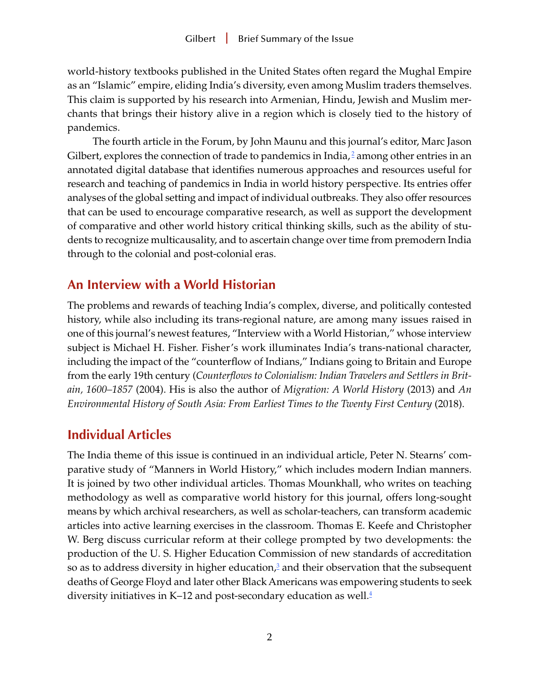<span id="page-1-0"></span>world-history textbooks published in the United States often regard the Mughal Empire as an "Islamic" empire, eliding India's diversity, even among Muslim traders themselves. This claim is supported by his research into Armenian, Hindu, Jewish and Muslim merchants that brings their history alive in a region which is closely tied to the history of pandemics.

The fourth article in the Forum, by John Maunu and this journal's editor, Marc Jason Gilbert, explores the connection of trade to pandemics in India, $^2$  $^2$  among other entries in an annotated digital database that identifies numerous approaches and resources useful for research and teaching of pandemics in India in world history perspective. Its entries offer analyses of the global setting and impact of individual outbreaks. They also offer resources that can be used to encourage comparative research, as well as support the development of comparative and other world history critical thinking skills, such as the ability of students to recognize multicausality, and to ascertain change over time from premodern India through to the colonial and post-colonial eras.

## **An Interview with a World Historian**

The problems and rewards of teaching India's complex, diverse, and politically contested history, while also including its trans-regional nature, are among many issues raised in one of this journal's newest features, "Interview with a World Historian," whose interview subject is Michael H. Fisher. Fisher's work illuminates India's trans-national character, including the impact of the "counterflow of Indians," Indians going to Britain and Europe from the early 19th century (*Counterflows to Colonialism: Indian Travelers and Settlers in Britain, 1600–1857* (2004). His is also the author of *Migration: A World History* (2013) and *An Environmental History of South Asia: From Earliest Times to the Twenty First Century* (2018).

# **Individual Articles**

The India theme of this issue is continued in an individual article, Peter N. Stearns' comparative study of "Manners in World History," which includes modern Indian manners. It is joined by two other individual articles. Thomas Mounkhall, who writes on teaching methodology as well as comparative world history for this journal, offers long-sought means by which archival researchers, as well as scholar-teachers, can transform academic articles into active learning exercises in the classroom. Thomas E. Keefe and Christopher W. Berg discuss curricular reform at their college prompted by two developments: the production of the U. S. Higher Education Commission of new standards of accreditation so as to address diversity in higher education,<sup>3</sup> and their observation that the subsequent deaths of George Floyd and later other Black Americans was empowering students to seek diversity initiatives in K–12 and post-secondary education as well. $\frac{4}{3}$